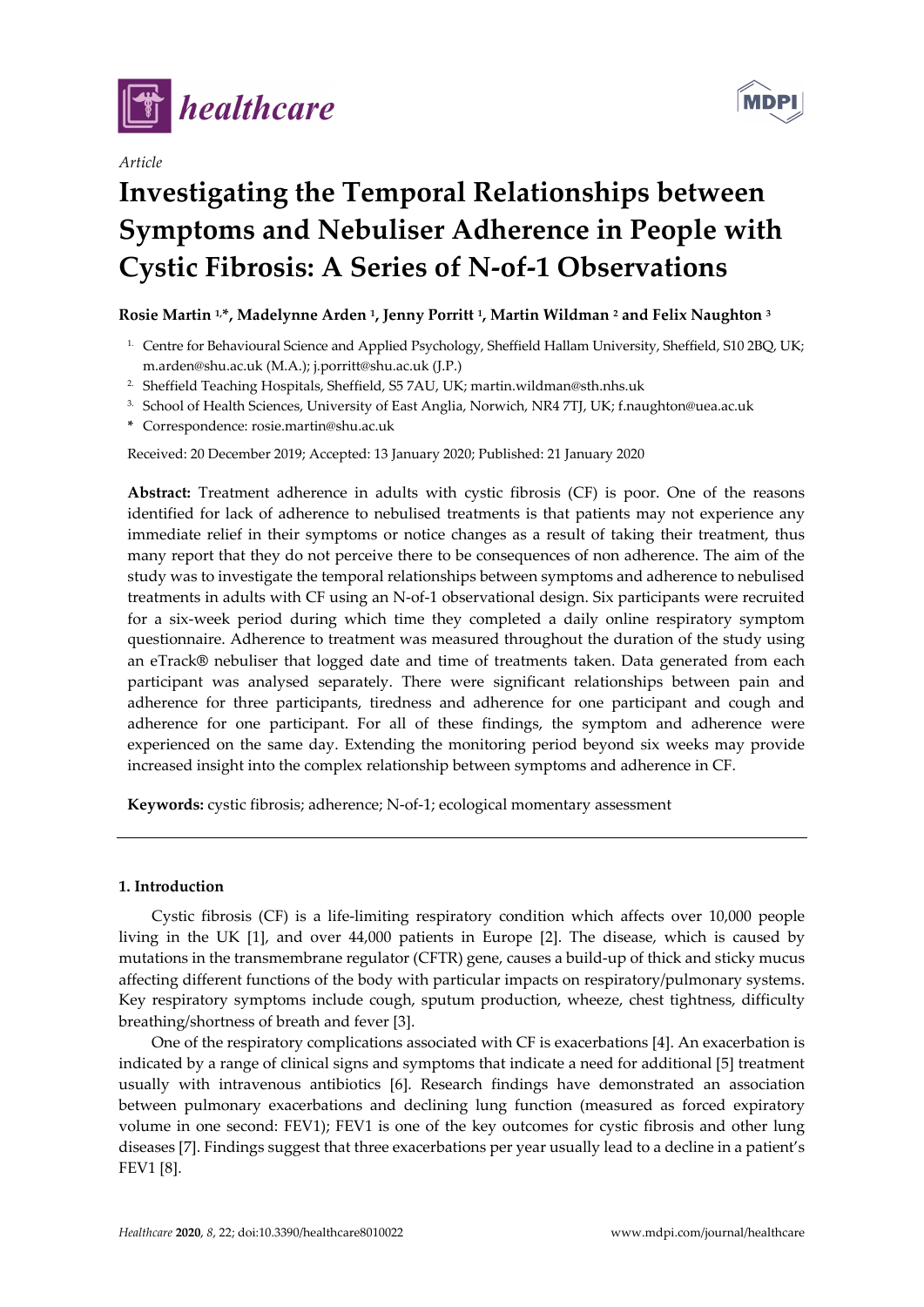

*Article*



# **Investigating the Temporal Relationships between Symptoms and Nebuliser Adherence in People with Cystic Fibrosis: A Series of N‐of‐1 Observations**

# **Rosie Martin 1,\*, Madelynne Arden 1, Jenny Porritt 1, Martin Wildman <sup>2</sup> and Felix Naughton <sup>3</sup>**

- <sup>1.</sup> Centre for Behavioural Science and Applied Psychology, Sheffield Hallam University, Sheffield, S10 2BQ, UK; m.arden@shu.ac.uk (M.A.); j.porritt@shu.ac.uk (J.P.)
- 2. Sheffield Teaching Hospitals, Sheffield, S5 7AU, UK; martin.wildman@sth.nhs.uk
- <sup>3.</sup> School of Health Sciences, University of East Anglia, Norwich, NR4 7TJ, UK; f.naughton@uea.ac.uk
- **\*** Correspondence: rosie.martin@shu.ac.uk

Received: 20 December 2019; Accepted: 13 January 2020; Published: 21 January 2020

**Abstract:** Treatment adherence in adults with cystic fibrosis (CF) is poor. One of the reasons identified for lack of adherence to nebulised treatments is that patients may not experience any immediate relief in their symptoms or notice changes as a result of taking their treatment, thus many report that they do not perceive there to be consequences of non adherence. The aim of the study was to investigate the temporal relationships between symptoms and adherence to nebulised treatments in adults with CF using an N‐of‐1 observational design. Six participants were recruited for a six‐week period during which time they completed a daily online respiratory symptom questionnaire. Adherence to treatment was measured throughout the duration of the study using an eTrack**®** nebuliser that logged date and time of treatments taken. Data generated from each participant was analysed separately. There were significant relationships between pain and adherence for three participants, tiredness and adherence for one participant and cough and adherence for one participant. For all of these findings, the symptom and adherence were experienced on the same day. Extending the monitoring period beyond six weeks may provide increased insight into the complex relationship between symptoms and adherence in CF.

Keywords: cystic fibrosis; adherence; N-of-1; ecological momentary assessment

# **1. Introduction**

Cystic fibrosis (CF) is a life‐limiting respiratory condition which affects over 10,000 people living in the UK [1], and over 44,000 patients in Europe [2]. The disease, which is caused by mutations in the transmembrane regulator (CFTR) gene, causes a build-up of thick and sticky mucus affecting different functions of the body with particular impacts on respiratory/pulmonary systems. Key respiratory symptoms include cough, sputum production, wheeze, chest tightness, difficulty breathing/shortness of breath and fever [3].

One of the respiratory complications associated with CF is exacerbations [4]. An exacerbation is indicated by a range of clinical signs and symptoms that indicate a need for additional [5] treatment usually with intravenous antibiotics [6]. Research findings have demonstrated an association between pulmonary exacerbations and declining lung function (measured as forced expiratory volume in one second: FEV1); FEV1 is one of the key outcomes for cystic fibrosis and other lung diseases [7]. Findings suggest that three exacerbations per year usually lead to a decline in a patient's FEV1 [8].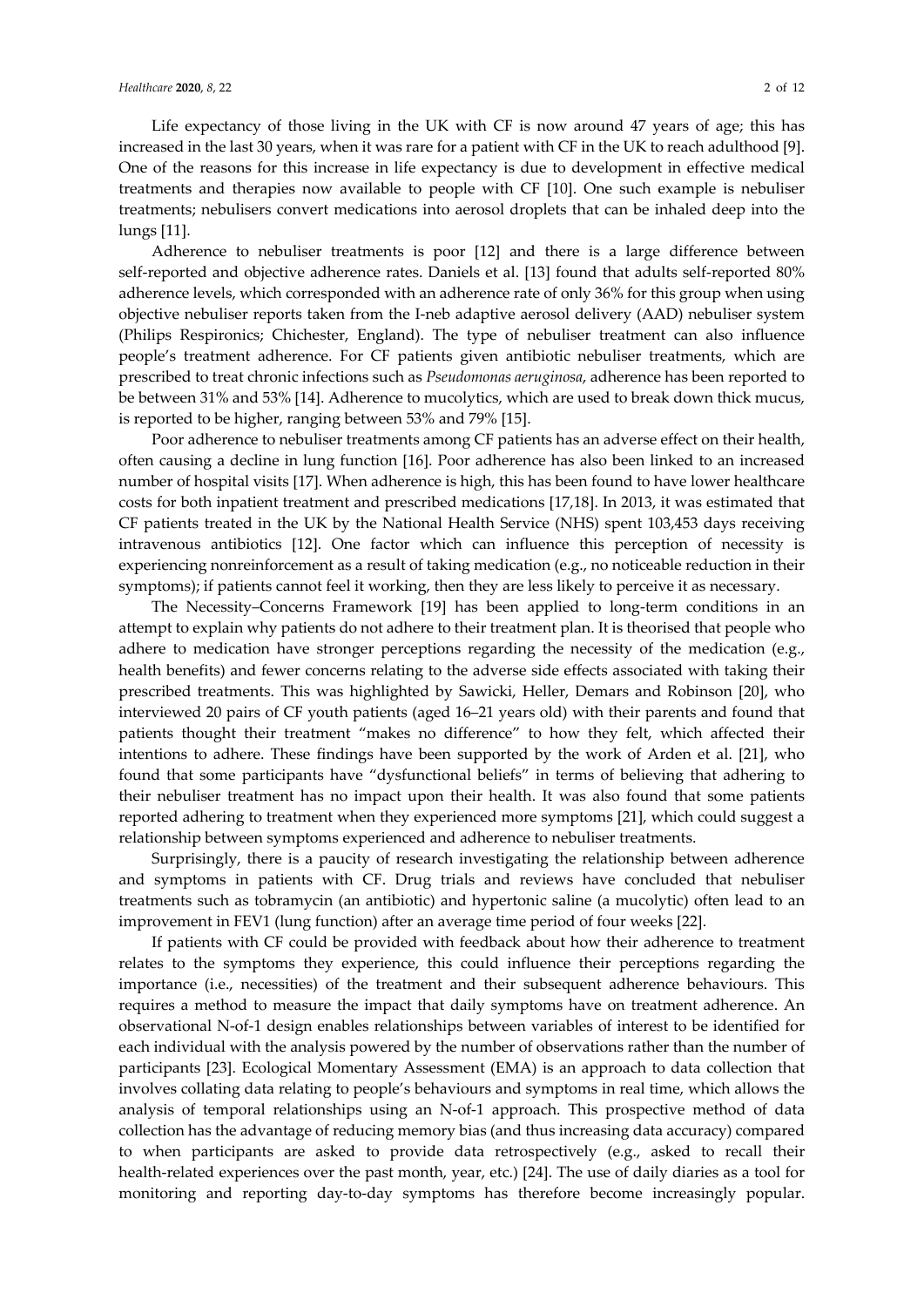Life expectancy of those living in the UK with CF is now around 47 years of age; this has increased in the last 30 years, when it was rare for a patient with CF in the UK to reach adulthood [9]. One of the reasons for this increase in life expectancy is due to development in effective medical treatments and therapies now available to people with CF [10]. One such example is nebuliser treatments; nebulisers convert medications into aerosol droplets that can be inhaled deep into the lungs [11].

Adherence to nebuliser treatments is poor [12] and there is a large difference between self-reported and objective adherence rates. Daniels et al. [13] found that adults self-reported 80% adherence levels, which corresponded with an adherence rate of only 36% for this group when using objective nebuliser reports taken from the I‐neb adaptive aerosol delivery (AAD) nebuliser system (Philips Respironics; Chichester, England). The type of nebuliser treatment can also influence people's treatment adherence. For CF patients given antibiotic nebuliser treatments, which are prescribed to treat chronic infections such as *Pseudomonas aeruginosa*, adherence has been reported to be between 31% and 53% [14]. Adherence to mucolytics, which are used to break down thick mucus, is reported to be higher, ranging between 53% and 79% [15].

Poor adherence to nebuliser treatments among CF patients has an adverse effect on their health, often causing a decline in lung function [16]. Poor adherence has also been linked to an increased number of hospital visits [17]. When adherence is high, this has been found to have lower healthcare costs for both inpatient treatment and prescribed medications [17,18]. In 2013, it was estimated that CF patients treated in the UK by the National Health Service (NHS) spent 103,453 days receiving intravenous antibiotics [12]. One factor which can influence this perception of necessity is experiencing nonreinforcement as a result of taking medication (e.g., no noticeable reduction in their symptoms); if patients cannot feel it working, then they are less likely to perceive it as necessary.

The Necessity–Concerns Framework [19] has been applied to long‐term conditions in an attempt to explain why patients do not adhere to their treatment plan. It is theorised that people who adhere to medication have stronger perceptions regarding the necessity of the medication (e.g., health benefits) and fewer concerns relating to the adverse side effects associated with taking their prescribed treatments. This was highlighted by Sawicki, Heller, Demars and Robinson [20], who interviewed 20 pairs of CF youth patients (aged 16–21 years old) with their parents and found that patients thought their treatment "makes no difference" to how they felt, which affected their intentions to adhere. These findings have been supported by the work of Arden et al. [21], who found that some participants have "dysfunctional beliefs" in terms of believing that adhering to their nebuliser treatment has no impact upon their health. It was also found that some patients reported adhering to treatment when they experienced more symptoms [21], which could suggest a relationship between symptoms experienced and adherence to nebuliser treatments.

Surprisingly, there is a paucity of research investigating the relationship between adherence and symptoms in patients with CF. Drug trials and reviews have concluded that nebuliser treatments such as tobramycin (an antibiotic) and hypertonic saline (a mucolytic) often lead to an improvement in FEV1 (lung function) after an average time period of four weeks [22].

If patients with CF could be provided with feedback about how their adherence to treatment relates to the symptoms they experience, this could influence their perceptions regarding the importance (i.e., necessities) of the treatment and their subsequent adherence behaviours. This requires a method to measure the impact that daily symptoms have on treatment adherence. An observational N‐of‐1 design enables relationships between variables of interest to be identified for each individual with the analysis powered by the number of observations rather than the number of participants [23]. Ecological Momentary Assessment (EMA) is an approach to data collection that involves collating data relating to people's behaviours and symptoms in real time, which allows the analysis of temporal relationships using an N‐of‐1 approach. This prospective method of data collection has the advantage of reducing memory bias (and thus increasing data accuracy) compared to when participants are asked to provide data retrospectively (e.g., asked to recall their health-related experiences over the past month, year, etc.) [24]. The use of daily diaries as a tool for monitoring and reporting day‐to‐day symptoms has therefore become increasingly popular.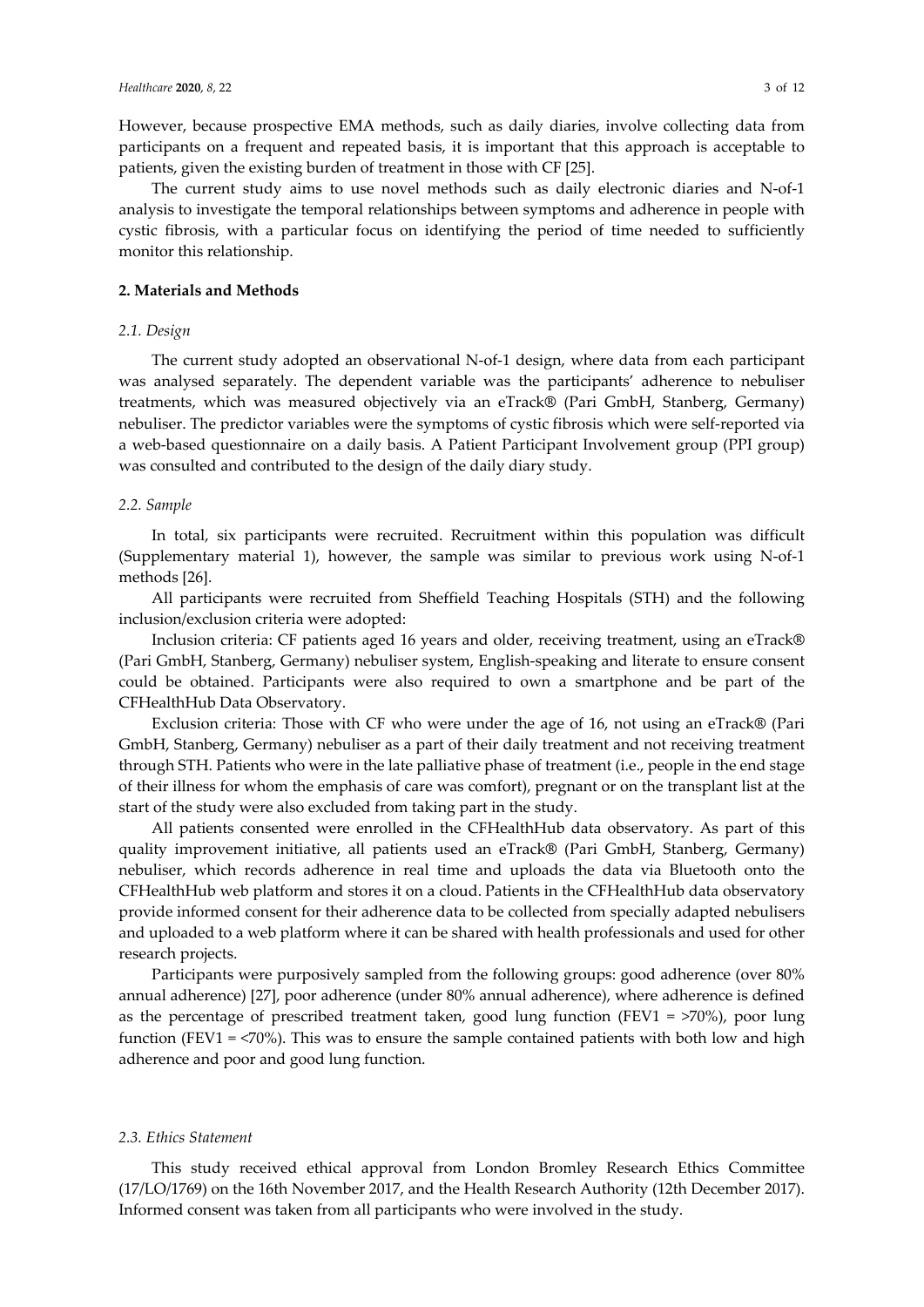However, because prospective EMA methods, such as daily diaries, involve collecting data from participants on a frequent and repeated basis, it is important that this approach is acceptable to patients, given the existing burden of treatment in those with CF [25].

The current study aims to use novel methods such as daily electronic diaries and N‐of‐1 analysis to investigate the temporal relationships between symptoms and adherence in people with cystic fibrosis, with a particular focus on identifying the period of time needed to sufficiently monitor this relationship.

#### **2. Materials and Methods**

## *2.1. Design*

The current study adopted an observational N-of-1 design, where data from each participant was analysed separately. The dependent variable was the participants' adherence to nebuliser treatments, which was measured objectively via an eTrack**®** (Pari GmbH, Stanberg, Germany) nebuliser. The predictor variables were the symptoms of cystic fibrosis which were self‐reported via a web‐based questionnaire on a daily basis. A Patient Participant Involvement group (PPI group) was consulted and contributed to the design of the daily diary study.

#### *2.2. Sample*

In total, six participants were recruited. Recruitment within this population was difficult (Supplementary material 1), however, the sample was similar to previous work using N‐of‐1 methods [26].

All participants were recruited from Sheffield Teaching Hospitals (STH) and the following inclusion/exclusion criteria were adopted:

Inclusion criteria: CF patients aged 16 years and older, receiving treatment, using an eTrack**®** (Pari GmbH, Stanberg, Germany) nebuliser system, English‐speaking and literate to ensure consent could be obtained. Participants were also required to own a smartphone and be part of the CFHealthHub Data Observatory.

Exclusion criteria: Those with CF who were under the age of 16, not using an eTrack**®** (Pari GmbH, Stanberg, Germany) nebuliser as a part of their daily treatment and not receiving treatment through STH. Patients who were in the late palliative phase of treatment (i.e., people in the end stage of their illness for whom the emphasis of care was comfort), pregnant or on the transplant list at the start of the study were also excluded from taking part in the study.

All patients consented were enrolled in the CFHealthHub data observatory. As part of this quality improvement initiative, all patients used an eTrack**®** (Pari GmbH, Stanberg, Germany) nebuliser, which records adherence in real time and uploads the data via Bluetooth onto the CFHealthHub web platform and stores it on a cloud. Patients in the CFHealthHub data observatory provide informed consent for their adherence data to be collected from specially adapted nebulisers and uploaded to a web platform where it can be shared with health professionals and used for other research projects.

Participants were purposively sampled from the following groups: good adherence (over 80% annual adherence) [27], poor adherence (under 80% annual adherence), where adherence is defined as the percentage of prescribed treatment taken, good lung function (FEV1 =  $>70\%$ ), poor lung function (FEV1 = <70%). This was to ensure the sample contained patients with both low and high adherence and poor and good lung function.

#### *2.3. Ethics Statement*

This study received ethical approval from London Bromley Research Ethics Committee (17/LO/1769) on the 16th November 2017, and the Health Research Authority (12th December 2017). Informed consent was taken from all participants who were involved in the study.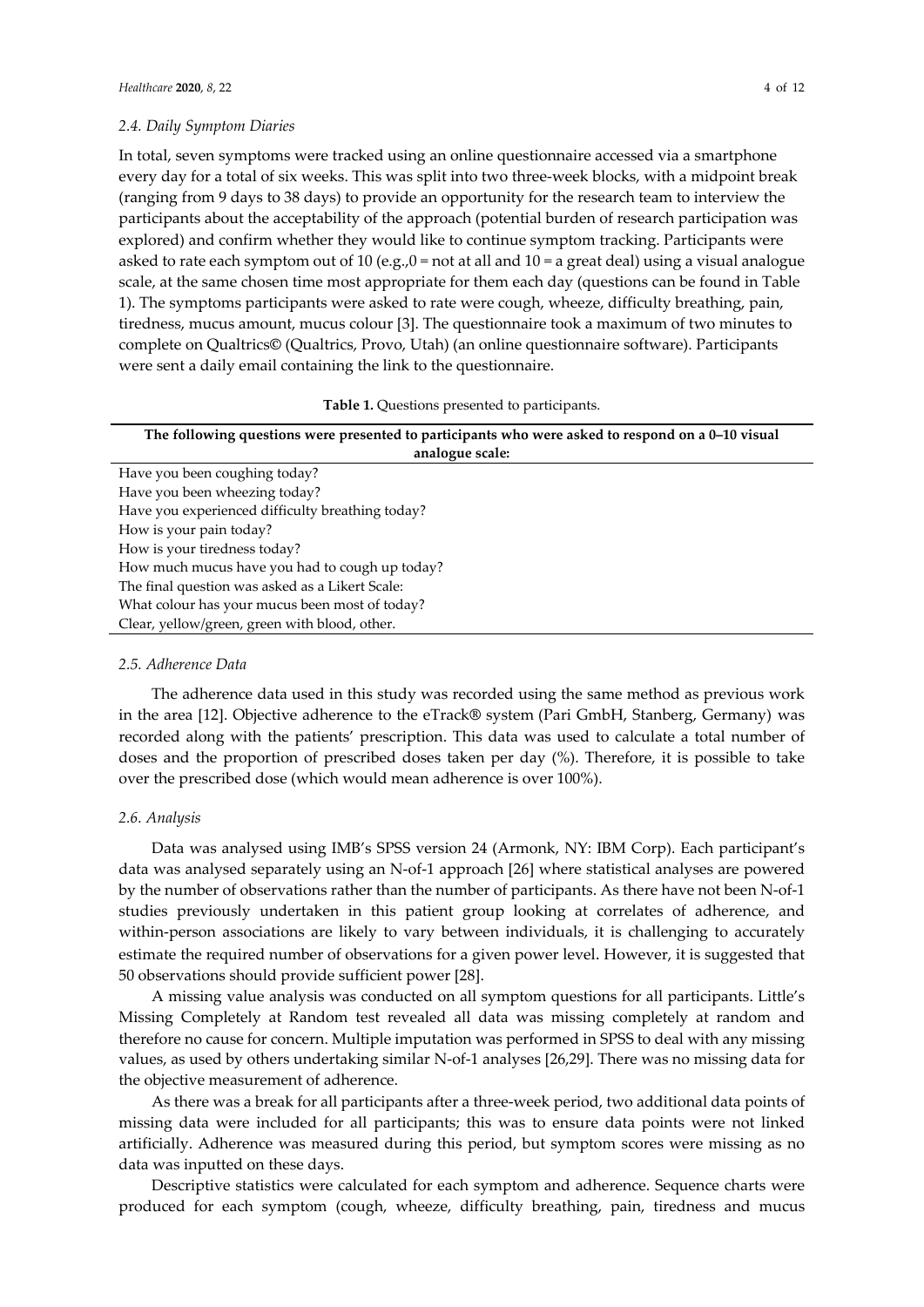### *2.4. Daily Symptom Diaries*

In total, seven symptoms were tracked using an online questionnaire accessed via a smartphone every day for a total of six weeks. This was split into two three‐week blocks, with a midpoint break (ranging from 9 days to 38 days) to provide an opportunity for the research team to interview the participants about the acceptability of the approach (potential burden of research participation was explored) and confirm whether they would like to continue symptom tracking. Participants were asked to rate each symptom out of 10 (e.g., $0 =$  not at all and 10 = a great deal) using a visual analogue scale, at the same chosen time most appropriate for them each day (questions can be found in Table 1). The symptoms participants were asked to rate were cough, wheeze, difficulty breathing, pain, tiredness, mucus amount, mucus colour [3]. The questionnaire took a maximum of two minutes to complete on Qualtrics**©** (Qualtrics, Provo, Utah) (an online questionnaire software). Participants were sent a daily email containing the link to the questionnaire.

| The following questions were presented to participants who were asked to respond on a 0–10 visual |  |  |  |  |  |  |
|---------------------------------------------------------------------------------------------------|--|--|--|--|--|--|
| analogue scale:                                                                                   |  |  |  |  |  |  |
| Have you been coughing today?                                                                     |  |  |  |  |  |  |
| Have you been wheezing today?                                                                     |  |  |  |  |  |  |
| Have you experienced difficulty breathing today?                                                  |  |  |  |  |  |  |
| How is your pain today?                                                                           |  |  |  |  |  |  |
| How is your tiredness today?                                                                      |  |  |  |  |  |  |
| How much mucus have you had to cough up today?                                                    |  |  |  |  |  |  |
| The final question was asked as a Likert Scale:                                                   |  |  |  |  |  |  |
| What colour has your mucus been most of today?                                                    |  |  |  |  |  |  |
| Clear, yellow/green, green with blood, other.                                                     |  |  |  |  |  |  |
|                                                                                                   |  |  |  |  |  |  |

#### *2.5. Adherence Data*

The adherence data used in this study was recorded using the same method as previous work in the area [12]. Objective adherence to the eTrack**®** system (Pari GmbH, Stanberg, Germany) was recorded along with the patients' prescription. This data was used to calculate a total number of doses and the proportion of prescribed doses taken per day (%). Therefore, it is possible to take over the prescribed dose (which would mean adherence is over 100%).

#### *2.6. Analysis*

Data was analysed using IMB's SPSS version 24 (Armonk, NY: IBM Corp). Each participant's data was analysed separately using an N‐of‐1 approach [26] where statistical analyses are powered by the number of observations rather than the number of participants. As there have not been N‐of‐1 studies previously undertaken in this patient group looking at correlates of adherence, and within-person associations are likely to vary between individuals, it is challenging to accurately estimate the required number of observations for a given power level. However, it is suggested that 50 observations should provide sufficient power [28].

A missing value analysis was conducted on all symptom questions for all participants. Little's Missing Completely at Random test revealed all data was missing completely at random and therefore no cause for concern. Multiple imputation was performed in SPSS to deal with any missing values, as used by others undertaking similar N‐of‐1 analyses [26,29]. There was no missing data for the objective measurement of adherence.

As there was a break for all participants after a three‐week period, two additional data points of missing data were included for all participants; this was to ensure data points were not linked artificially. Adherence was measured during this period, but symptom scores were missing as no data was inputted on these days.

Descriptive statistics were calculated for each symptom and adherence. Sequence charts were produced for each symptom (cough, wheeze, difficulty breathing, pain, tiredness and mucus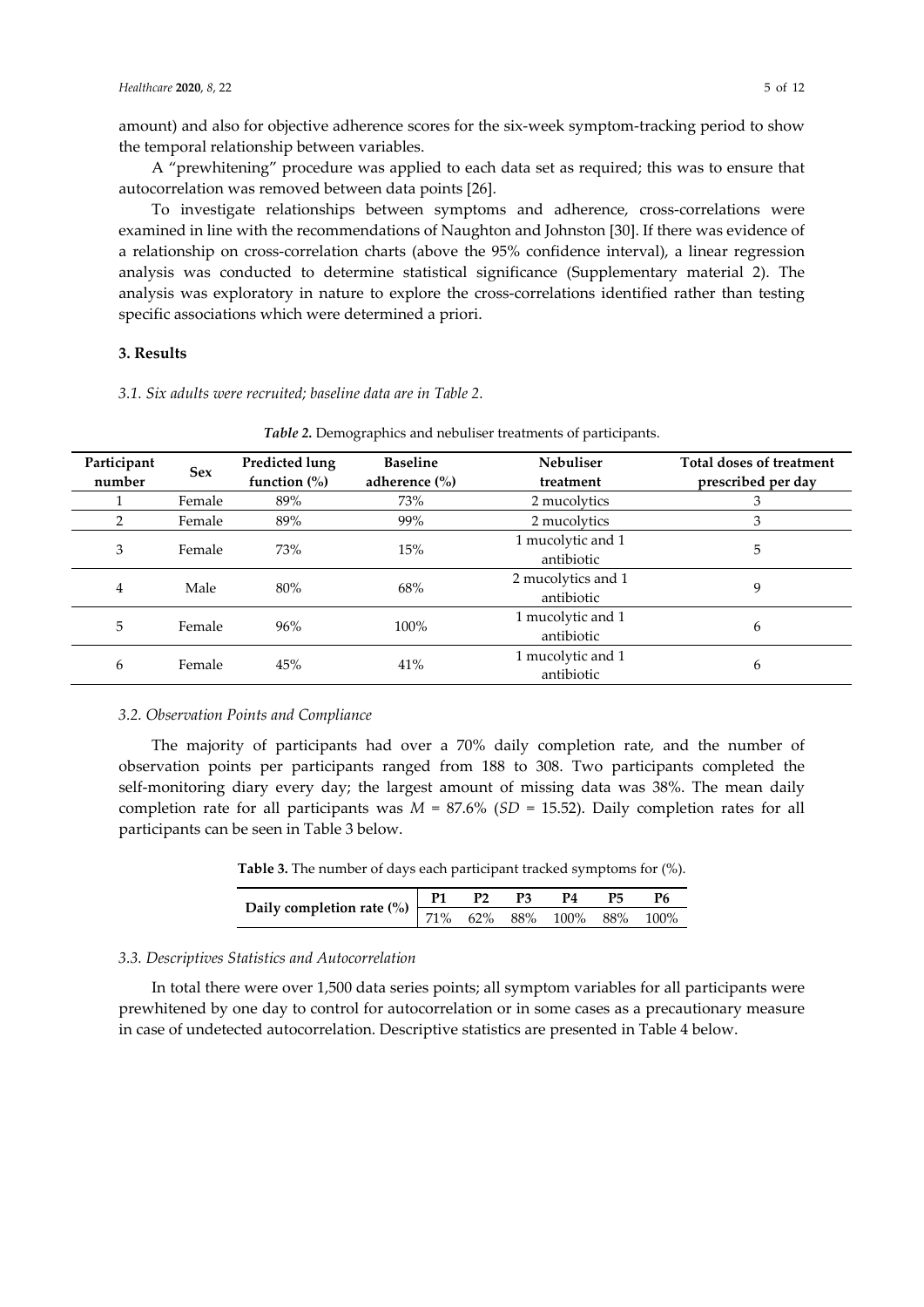amount) and also for objective adherence scores for the six-week symptom-tracking period to show the temporal relationship between variables.

A "prewhitening" procedure was applied to each data set as required; this was to ensure that autocorrelation was removed between data points [26].

To investigate relationships between symptoms and adherence, cross‐correlations were examined in line with the recommendations of Naughton and Johnston [30]. If there was evidence of a relationship on cross‐correlation charts (above the 95% confidence interval), a linear regression analysis was conducted to determine statistical significance (Supplementary material 2). The analysis was exploratory in nature to explore the cross‐correlations identified rather than testing specific associations which were determined a priori.

# **3. Results**

*3.1. Six adults were recruited; baseline data are in Table 2.*

| Participant<br>number | <b>Sex</b> | Predicted lung<br>function $\frac{6}{6}$ | <b>Baseline</b><br>adherence $(\% )$ | Nebuliser<br>treatment           | Total doses of treatment<br>prescribed per day |  |
|-----------------------|------------|------------------------------------------|--------------------------------------|----------------------------------|------------------------------------------------|--|
|                       | Female     | 89%                                      | 73%                                  | 2 mucolytics                     | 3                                              |  |
|                       | Female     | 89%                                      | 99%                                  | 2 mucolytics                     | 3                                              |  |
| 3                     | Female     | 73%                                      | 15%                                  | 1 mucolytic and 1<br>antibiotic  | 5                                              |  |
| 4                     | Male       | 80%                                      | 68%                                  | 2 mucolytics and 1<br>antibiotic | 9                                              |  |
| 5                     | Female     | 96%                                      | 100%                                 | 1 mucolytic and 1<br>antibiotic  | 6                                              |  |
| 6                     | Female     | 45%                                      | 41%                                  | 1 mucolytic and 1<br>antibiotic  | 6                                              |  |

*Table 2.* Demographics and nebuliser treatments of participants.

#### *3.2. Observation Points and Compliance*

The majority of participants had over a 70% daily completion rate, and the number of observation points per participants ranged from 188 to 308. Two participants completed the self-monitoring diary every day; the largest amount of missing data was 38%. The mean daily completion rate for all participants was *M* = 87.6% (*SD* = 15.52). Daily completion rates for all participants can be seen in Table 3 below.

**Table 3.** The number of days each participant tracked symptoms for (%).

| Daily completion rate (%) $\begin{array}{ c c c c c }\n\hline\n P1 & P2 & P3 & P4 & P5 & P6 \\ \hline\n71\% & 62\% & 88\% & 100\% & 88\% & 100\% \\ \hline\n\end{array}$ |  |  |  |
|--------------------------------------------------------------------------------------------------------------------------------------------------------------------------|--|--|--|
|                                                                                                                                                                          |  |  |  |

### *3.3. Descriptives Statistics and Autocorrelation*

In total there were over 1,500 data series points; all symptom variables for all participants were prewhitened by one day to control for autocorrelation or in some cases as a precautionary measure in case of undetected autocorrelation. Descriptive statistics are presented in Table 4 below.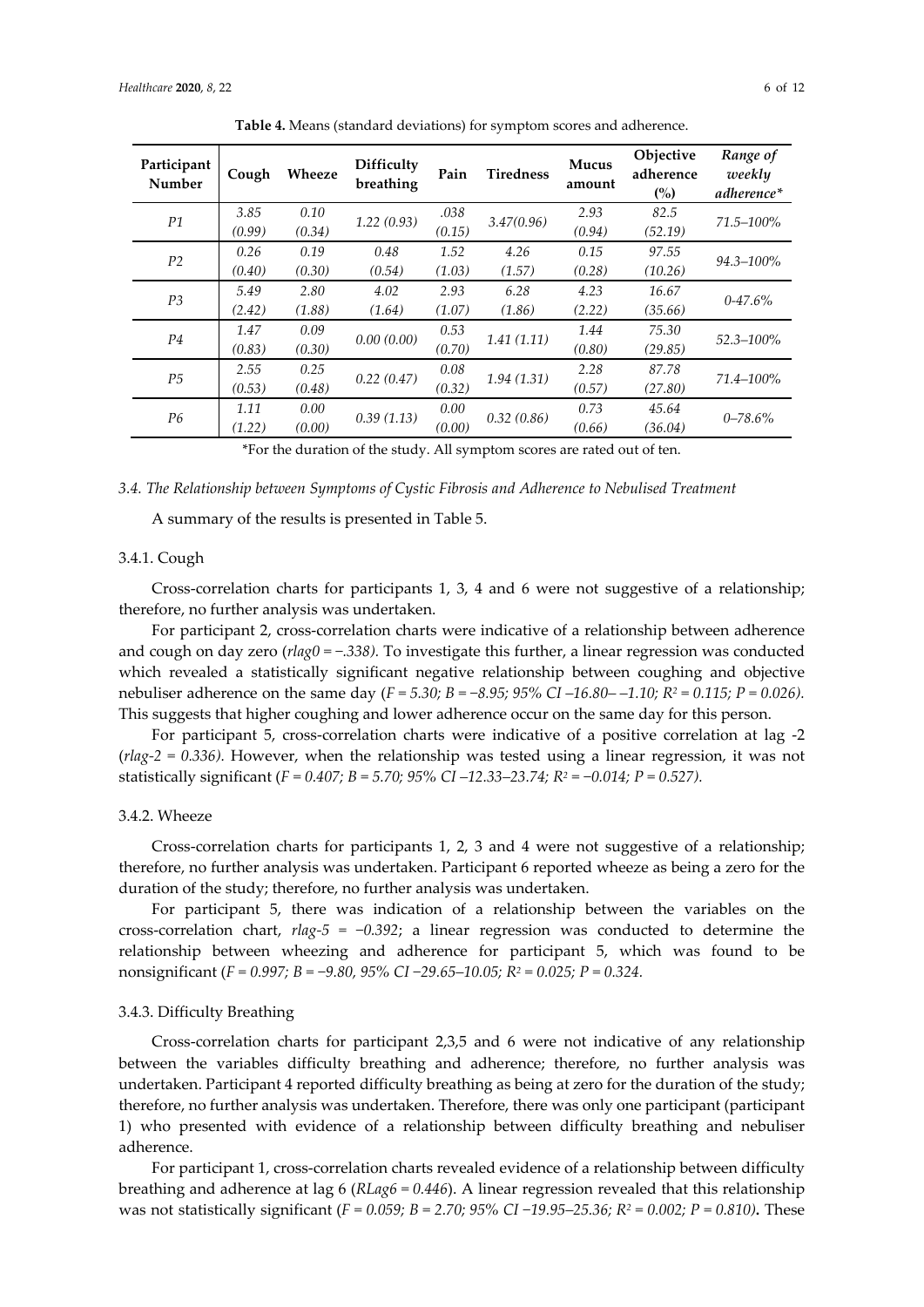| Participant<br>Number | Cough          | Wheeze         | Difficulty<br>breathing | Pain           | <b>Tiredness</b> | <b>Mucus</b><br>amount | Objective<br>adherence<br>(%) | Range of<br>weekly<br>adherence* |
|-----------------------|----------------|----------------|-------------------------|----------------|------------------|------------------------|-------------------------------|----------------------------------|
| P1                    | 3.85<br>(0.99) | 0.10<br>(0.34) | 1.22(0.93)              | .038<br>(0.15) | 3.47(0.96)       | 2.93<br>(0.94)         | 82.5<br>(52.19)               | $71.5 - 100\%$                   |
| P <sub>2</sub>        | 0.26<br>(0.40) | 0.19<br>(0.30) | 0.48<br>(0.54)          | 1.52<br>(1.03) | 4.26<br>(1.57)   | 0.15<br>(0.28)         | 97.55<br>(10.26)              | $94.3 - 100\%$                   |
| P <sub>3</sub>        | 5.49<br>(2.42) | 2.80<br>(1.88) | 4.02<br>(1.64)          | 2.93<br>(1.07) | 6.28<br>(1.86)   | 4.23<br>(2.22)         | 16.67<br>(35.66)              | $0 - 47.6%$                      |
| P4                    | 1.47<br>(0.83) | 0.09<br>(0.30) | 0.00(0.00)              | 0.53<br>(0.70) | 1.41(1.11)       | 1.44<br>(0.80)         | 75.30<br>(29.85)              | $52.3 - 100\%$                   |
| P <sub>5</sub>        | 2.55<br>(0.53) | 0.25<br>(0.48) | 0.22(0.47)              | 0.08<br>(0.32) | 1.94(1.31)       | 2.28<br>(0.57)         | 87.78<br>(27.80)              | 71.4–100%                        |
| P6                    | 1.11<br>(1.22) | 0.00<br>(0.00) | 0.39(1.13)              | 0.00<br>(0.00) | 0.32(0.86)       | 0.73<br>(0.66)         | 45.64<br>(36.04)              | $0 - 78.6\%$                     |

**Table 4.** Means (standard deviations) for symptom scores and adherence.

\*For the duration of the study. All symptom scores are rated out of ten.

## *3.4. The Relationship between Symptoms of Cystic Fibrosis and Adherence to Nebulised Treatment*

A summary of the results is presented in Table 5.

#### 3.4.1. Cough

Cross‐correlation charts for participants 1, 3, 4 and 6 were not suggestive of a relationship; therefore, no further analysis was undertaken.

For participant 2, cross-correlation charts were indicative of a relationship between adherence and cough on day zero (*rlag0 = −.338).* To investigate this further, a linear regression was conducted which revealed a statistically significant negative relationship between coughing and objective nebuliser adherence on the same day (*F = 5.30; B = −8.95; 95% CI –16.80– –1.10; R2 = 0.115; P = 0.026).* This suggests that higher coughing and lower adherence occur on the same day for this person.

For participant 5, cross‐correlation charts were indicative of a positive correlation at lag ‐2  $(rlag - 2 = 0.336)$ . However, when the relationship was tested using a linear regression, it was not statistically significant (*F = 0.407; B = 5.70; 95% CI –12.33–23.74; R2 = −0.014; P = 0.527).*

## 3.4.2. Wheeze

Cross‐correlation charts for participants 1, 2, 3 and 4 were not suggestive of a relationship; therefore, no further analysis was undertaken. Participant 6 reported wheeze as being a zero for the duration of the study; therefore, no further analysis was undertaken.

For participant 5, there was indication of a relationship between the variables on the cross‐correlation chart, *rlag‐5 = −0.392*; a linear regression was conducted to determine the relationship between wheezing and adherence for participant 5, which was found to be nonsignificant (*F = 0.997; B = −9.80, 95% CI −29.65–10.05; R2 = 0.025; P = 0.324.*

# 3.4.3. Difficulty Breathing

Cross‐correlation charts for participant 2,3,5 and 6 were not indicative of any relationship between the variables difficulty breathing and adherence; therefore, no further analysis was undertaken. Participant 4 reported difficulty breathing as being at zero for the duration of the study; therefore, no further analysis was undertaken. Therefore, there was only one participant (participant 1) who presented with evidence of a relationship between difficulty breathing and nebuliser adherence.

For participant 1, cross-correlation charts revealed evidence of a relationship between difficulty breathing and adherence at lag 6 (*RLag6 = 0.446*). A linear regression revealed that this relationship was not statistically significant ( $F = 0.059$ ;  $B = 2.70$ ;  $95\%$  CI -19.95-25.36;  $R^2 = 0.002$ ;  $P = 0.810$ ). These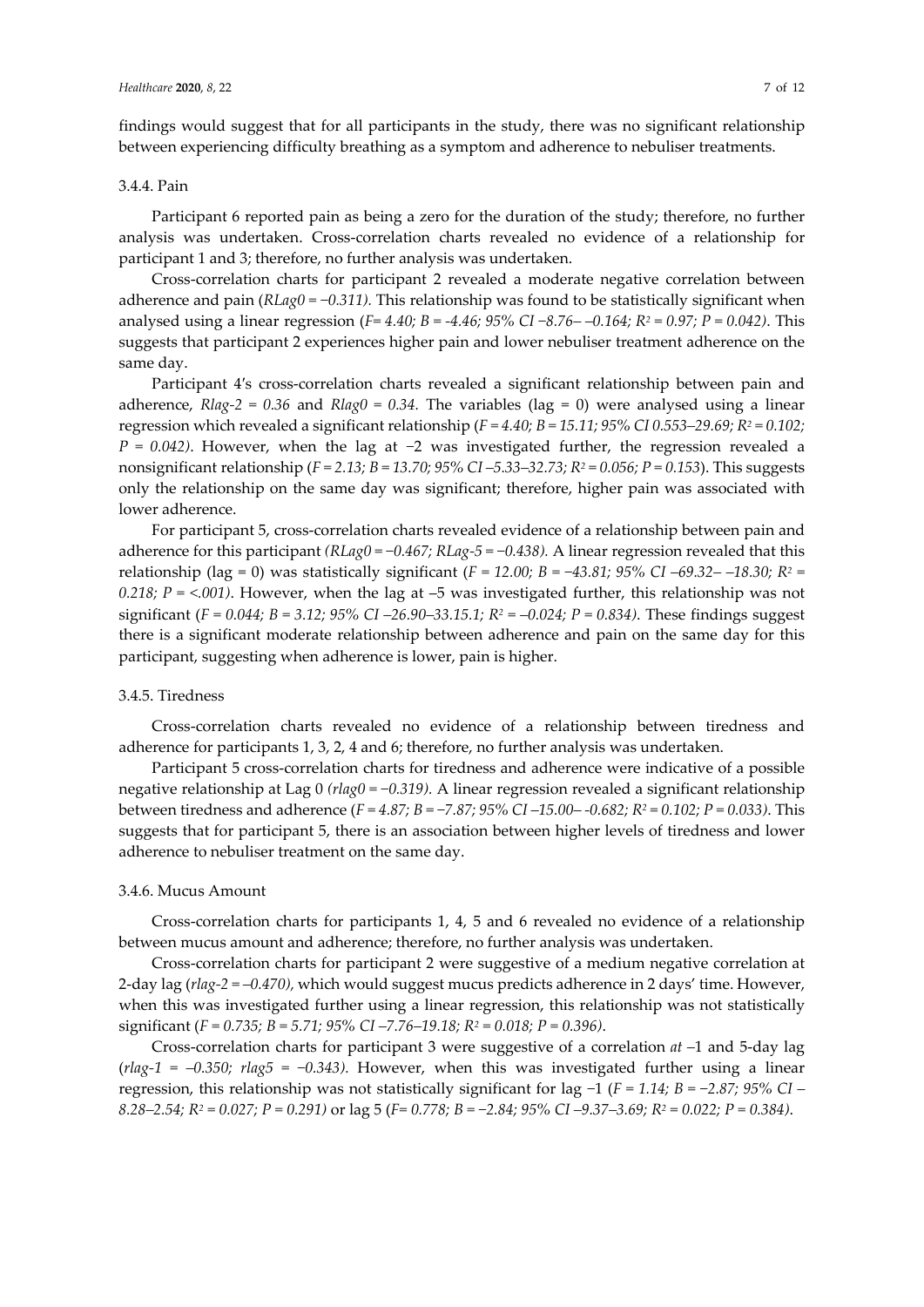findings would suggest that for all participants in the study, there was no significant relationship between experiencing difficulty breathing as a symptom and adherence to nebuliser treatments.

#### 3.4.4. Pain

Participant 6 reported pain as being a zero for the duration of the study; therefore, no further analysis was undertaken. Cross‐correlation charts revealed no evidence of a relationship for participant 1 and 3; therefore, no further analysis was undertaken.

Cross‐correlation charts for participant 2 revealed a moderate negative correlation between adherence and pain (*RLag0 = −0.311).* This relationship was found to be statistically significant when analysed using a linear regression (*F= 4.40; B = ‐4.46; 95% CI −8.76– –0.164; R2 = 0.97; P = 0.042)*. This suggests that participant 2 experiences higher pain and lower nebuliser treatment adherence on the same day.

Participant 4's cross-correlation charts revealed a significant relationship between pain and adherence,  $R \mid aq^2 = 0.36$  and  $R \mid aq^2 = 0.34$ . The variables ( $\mid aq = 0$ ) were analysed using a linear regression which revealed a significant relationship (*F = 4.40; B = 15.11; 95% CI 0.553–29.69; R2 = 0.102; P* = 0.042). However, when the lag at −2 was investigated further, the regression revealed a nonsignificant relationship (*F = 2.13; B = 13.70; 95% CI –5.33–32.73; R2 = 0.056; P = 0.153*). This suggests only the relationship on the same day was significant; therefore, higher pain was associated with lower adherence.

For participant 5, cross-correlation charts revealed evidence of a relationship between pain and adherence for this participant *(RLag0 = −0.467; RLag‐5 = −0.438).* A linear regression revealed that this relationship (lag = 0) was statistically significant (*F = 12.00; B = −43.81; 95% CI –69.32– –18.30; R2 = 0.218;*  $P = \langle .001 \rangle$ . However, when the lag at –5 was investigated further, this relationship was not significant (*F = 0.044; B = 3.12; 95% CI –26.90–33.15.1; R2 = –0.024; P = 0.834)*. These findings suggest there is a significant moderate relationship between adherence and pain on the same day for this participant, suggesting when adherence is lower, pain is higher.

## 3.4.5. Tiredness

Cross‐correlation charts revealed no evidence of a relationship between tiredness and adherence for participants 1, 3, 2, 4 and 6; therefore, no further analysis was undertaken.

Participant 5 cross-correlation charts for tiredness and adherence were indicative of a possible negative relationship at Lag 0 *(rlag0 = −0.319).* A linear regression revealed a significant relationship between tiredness and adherence  $(F = 4.87; B = -7.87; 95\% \text{ CI} -15.00 - 0.682; R^2 = 0.102; P = 0.033)$ . This suggests that for participant 5, there is an association between higher levels of tiredness and lower adherence to nebuliser treatment on the same day.

### 3.4.6. Mucus Amount

Cross‐correlation charts for participants 1, 4, 5 and 6 revealed no evidence of a relationship between mucus amount and adherence; therefore, no further analysis was undertaken.

Cross‐correlation charts for participant 2 were suggestive of a medium negative correlation at 2‐day lag (*rlag‐2 = –0.470),* which would suggest mucus predicts adherence in 2 days' time. However, when this was investigated further using a linear regression, this relationship was not statistically significant (*F = 0.735; B = 5.71; 95% CI –7.76–19.18; R2 = 0.018; P = 0.396)*.

Cross‐correlation charts for participant 3 were suggestive of a correlation *at –*1 and 5‐day lag (*rlag‐1 = –0.350; rlag5 = −0.343).* However, when this was investigated further using a linear regression, this relationship was not statistically significant for lag *−*1 (*F = 1.14; B = −2.87; 95% CI –* 8.28–2.54;  $R^2 = 0.027$ ;  $P = 0.291$ ) or lag 5 ( $F = 0.778$ ;  $B = -2.84$ ; 95% CI -9.37–3.69;  $R^2 = 0.022$ ;  $P = 0.384$ ).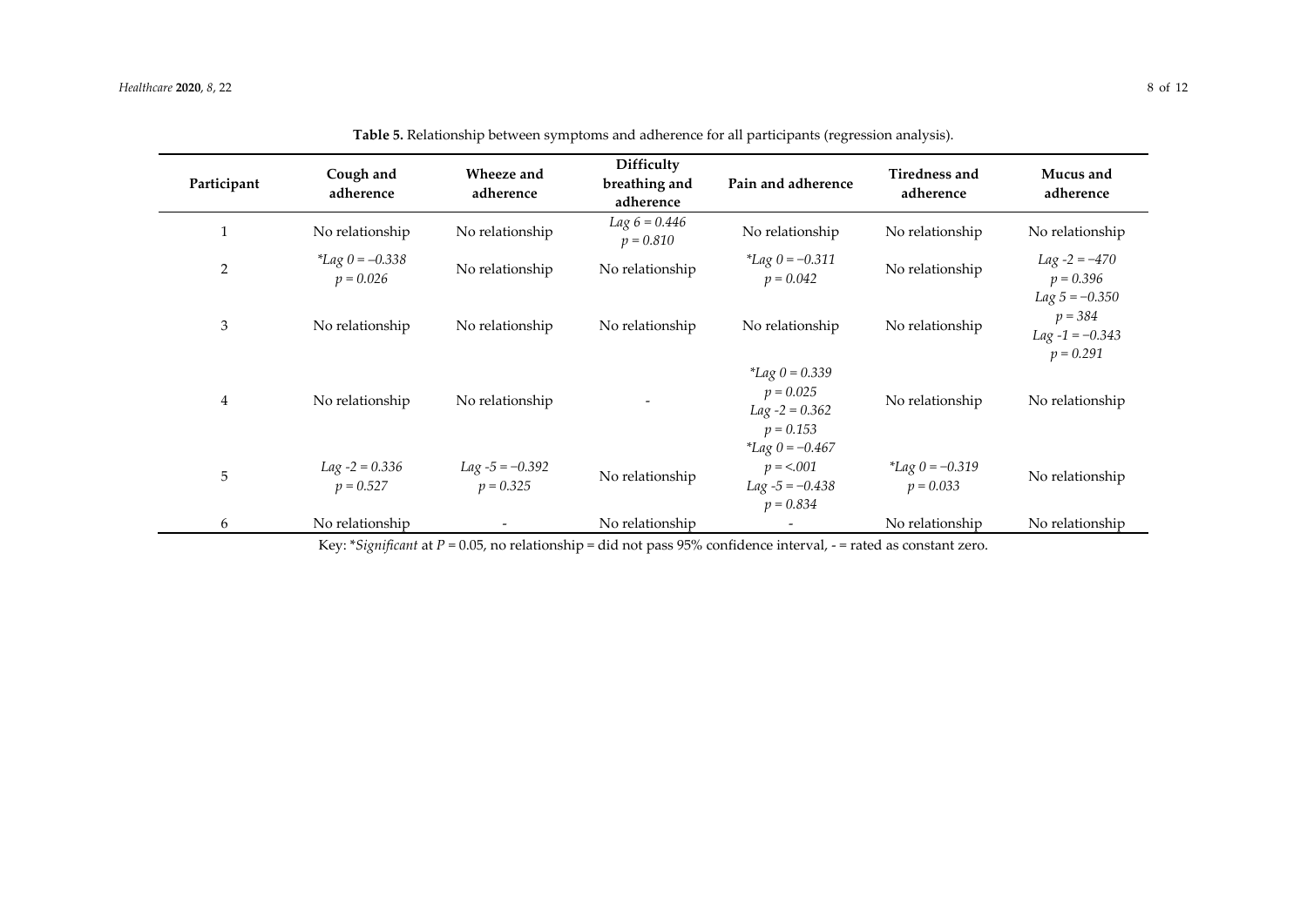| Participant    | Cough and<br>adherence           | Wheeze and<br>adherence          | Difficulty<br>breathing and<br>adherence | Pain and adherence                                                   | <b>Tiredness and</b><br>adherence | Mucus and<br>adherence                             |
|----------------|----------------------------------|----------------------------------|------------------------------------------|----------------------------------------------------------------------|-----------------------------------|----------------------------------------------------|
|                | No relationship                  | No relationship                  | Lag $6 = 0.446$<br>$p = 0.810$           | No relationship                                                      | No relationship                   | No relationship                                    |
| $\overline{2}$ | *Lag $0 = -0.338$<br>$p = 0.026$ | No relationship                  | No relationship                          | *Lag $0 = -0.311$<br>$p = 0.042$                                     | No relationship                   | Lag $-2 = -470$<br>$p = 0.396$<br>Lag $5 = -0.350$ |
| 3              | No relationship                  | No relationship                  | No relationship                          | No relationship                                                      | No relationship                   | $p = 384$<br>Lag $-1 = -0.343$<br>$p = 0.291$      |
| 4              | No relationship                  | No relationship                  |                                          | *Lag $0 = 0.339$<br>$p = 0.025$<br>Lag $-2 = 0.362$<br>$p = 0.153$   | No relationship                   | No relationship                                    |
| 5              | Lag $-2 = 0.336$<br>$p = 0.527$  | Lag $-5 = -0.392$<br>$p = 0.325$ | No relationship                          | *Lag $0 = -0.467$<br>$p = 0.001$<br>Lag $-5 = -0.438$<br>$p = 0.834$ | *Lag $0 = -0.319$<br>$p = 0.033$  | No relationship                                    |
| 6              | No relationship                  |                                  | No relationship                          |                                                                      | No relationship                   | No relationship                                    |

| Table 5. Relationship between symptoms and adherence for all participants (regression analysis). |  |
|--------------------------------------------------------------------------------------------------|--|
|--------------------------------------------------------------------------------------------------|--|

Key: \**Significant* at *P* = 0.05, no relationship = did not pass 95% confidence interval, - = rated as constant zero.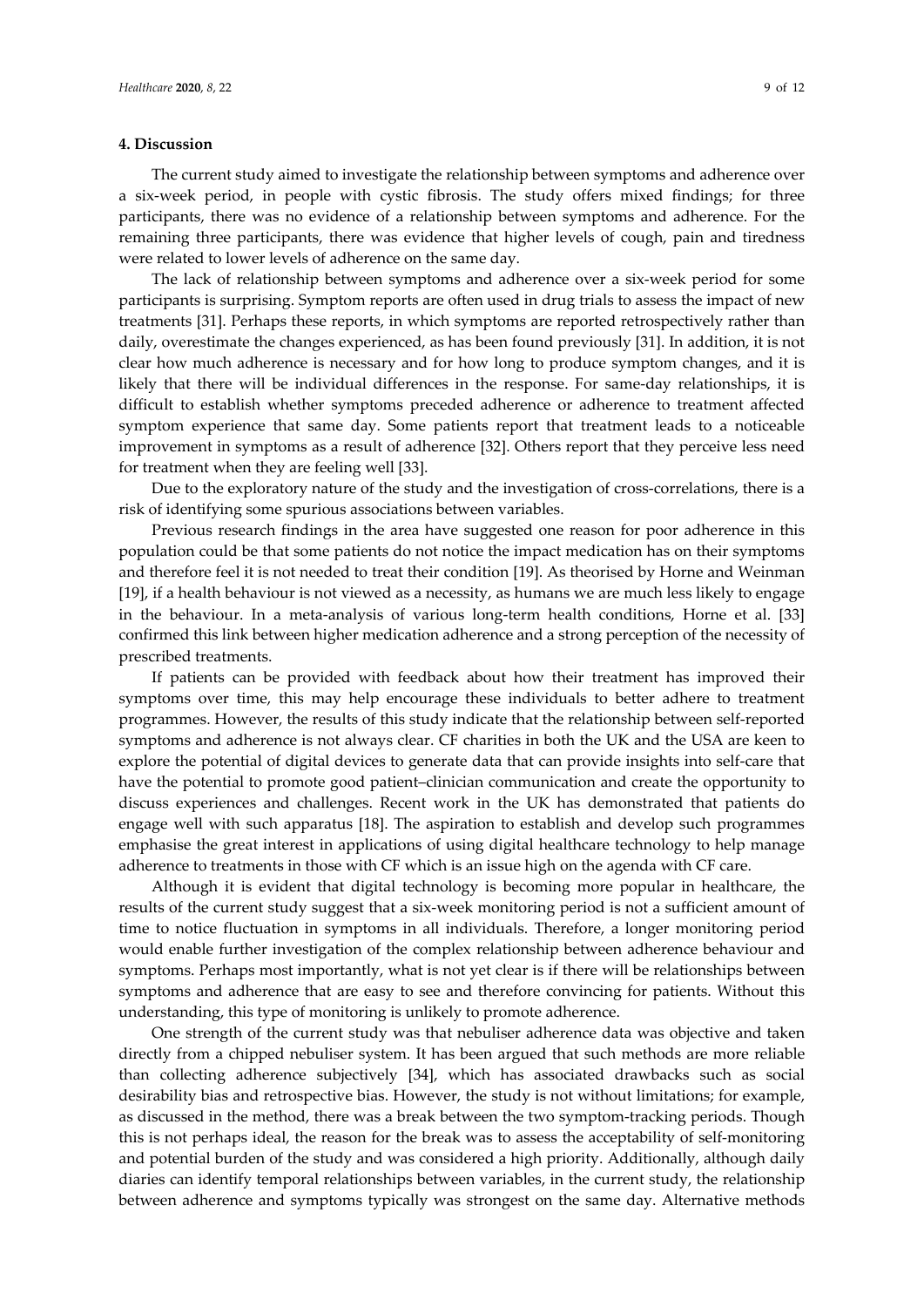## **4. Discussion**

The current study aimed to investigate the relationship between symptoms and adherence over a six‐week period, in people with cystic fibrosis. The study offers mixed findings; for three participants, there was no evidence of a relationship between symptoms and adherence. For the remaining three participants, there was evidence that higher levels of cough, pain and tiredness were related to lower levels of adherence on the same day.

The lack of relationship between symptoms and adherence over a six-week period for some participants is surprising. Symptom reports are often used in drug trials to assess the impact of new treatments [31]. Perhaps these reports, in which symptoms are reported retrospectively rather than daily, overestimate the changes experienced, as has been found previously [31]. In addition, it is not clear how much adherence is necessary and for how long to produce symptom changes, and it is likely that there will be individual differences in the response. For same-day relationships, it is difficult to establish whether symptoms preceded adherence or adherence to treatment affected symptom experience that same day. Some patients report that treatment leads to a noticeable improvement in symptoms as a result of adherence [32]. Others report that they perceive less need for treatment when they are feeling well [33].

Due to the exploratory nature of the study and the investigation of cross-correlations, there is a risk of identifying some spurious associations between variables.

Previous research findings in the area have suggested one reason for poor adherence in this population could be that some patients do not notice the impact medication has on their symptoms and therefore feel it is not needed to treat their condition [19]. As theorised by Horne and Weinman [19], if a health behaviour is not viewed as a necessity, as humans we are much less likely to engage in the behaviour. In a meta-analysis of various long-term health conditions, Horne et al. [33] confirmed this link between higher medication adherence and a strong perception of the necessity of prescribed treatments.

If patients can be provided with feedback about how their treatment has improved their symptoms over time, this may help encourage these individuals to better adhere to treatment programmes. However, the results of this study indicate that the relationship between self‐reported symptoms and adherence is not always clear. CF charities in both the UK and the USA are keen to explore the potential of digital devices to generate data that can provide insights into self-care that have the potential to promote good patient–clinician communication and create the opportunity to discuss experiences and challenges. Recent work in the UK has demonstrated that patients do engage well with such apparatus [18]. The aspiration to establish and develop such programmes emphasise the great interest in applications of using digital healthcare technology to help manage adherence to treatments in those with CF which is an issue high on the agenda with CF care.

Although it is evident that digital technology is becoming more popular in healthcare, the results of the current study suggest that a six‐week monitoring period is not a sufficient amount of time to notice fluctuation in symptoms in all individuals. Therefore, a longer monitoring period would enable further investigation of the complex relationship between adherence behaviour and symptoms. Perhaps most importantly, what is not yet clear is if there will be relationships between symptoms and adherence that are easy to see and therefore convincing for patients. Without this understanding, this type of monitoring is unlikely to promote adherence.

One strength of the current study was that nebuliser adherence data was objective and taken directly from a chipped nebuliser system. It has been argued that such methods are more reliable than collecting adherence subjectively [34], which has associated drawbacks such as social desirability bias and retrospective bias. However, the study is not without limitations; for example, as discussed in the method, there was a break between the two symptom‐tracking periods. Though this is not perhaps ideal, the reason for the break was to assess the acceptability of self-monitoring and potential burden of the study and was considered a high priority. Additionally, although daily diaries can identify temporal relationships between variables, in the current study, the relationship between adherence and symptoms typically was strongest on the same day. Alternative methods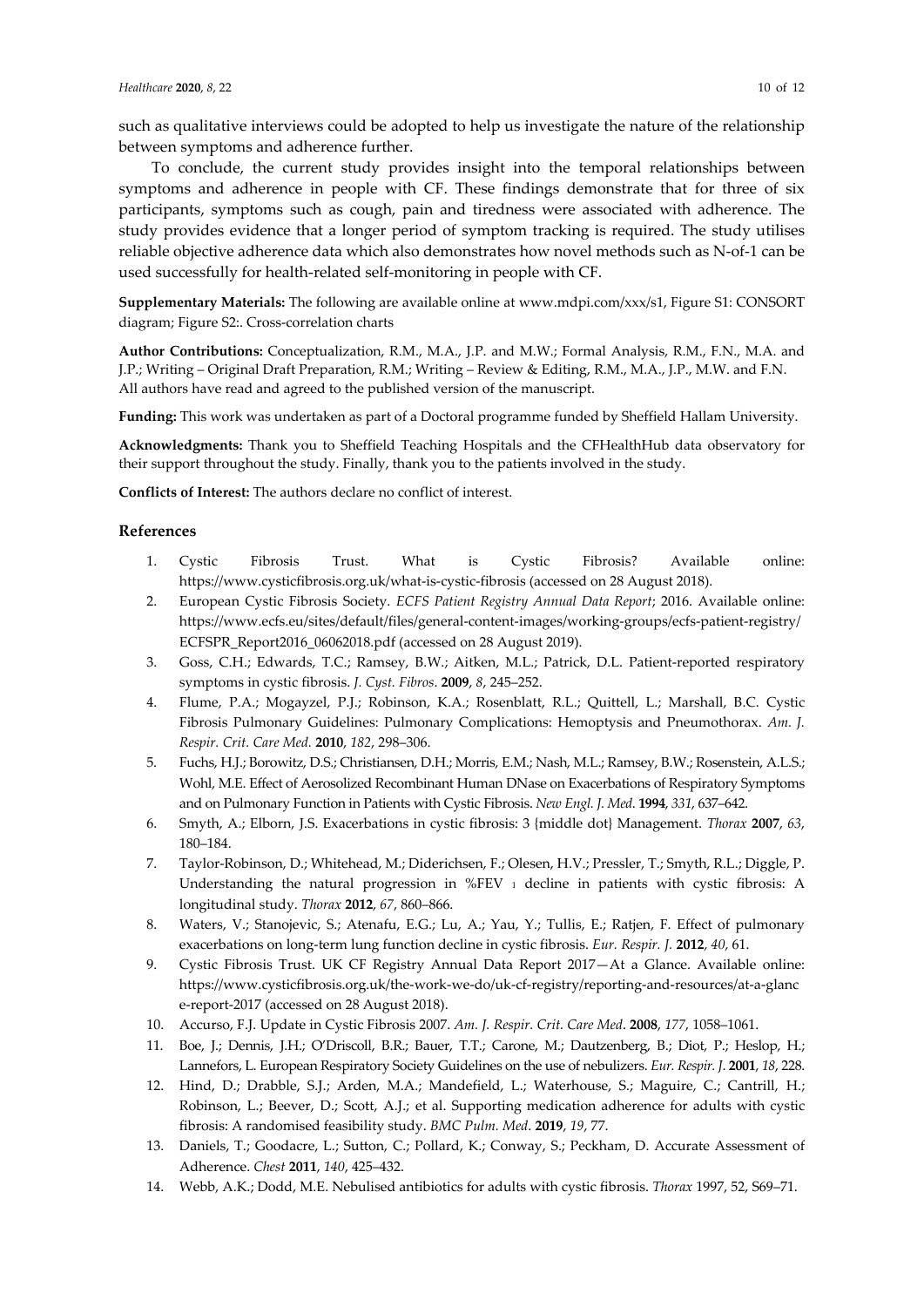such as qualitative interviews could be adopted to help us investigate the nature of the relationship between symptoms and adherence further.

To conclude, the current study provides insight into the temporal relationships between symptoms and adherence in people with CF. These findings demonstrate that for three of six participants, symptoms such as cough, pain and tiredness were associated with adherence. The study provides evidence that a longer period of symptom tracking is required. The study utilises reliable objective adherence data which also demonstrates how novel methods such as N‐of‐1 can be used successfully for health‐related self‐monitoring in people with CF.

**Supplementary Materials:** The following are available online at www.mdpi.com/xxx/s1, Figure S1: CONSORT diagram; Figure S2:. Cross‐correlation charts

**Author Contributions:** Conceptualization, R.M., M.A., J.P. and M.W.; Formal Analysis, R.M., F.N., M.A. and J.P.; Writing – Original Draft Preparation, R.M.; Writing – Review & Editing, R.M., M.A., J.P., M.W. and F.N. All authors have read and agreed to the published version of the manuscript.

**Funding:** This work was undertaken as part of a Doctoral programme funded by Sheffield Hallam University.

**Acknowledgments:** Thank you to Sheffield Teaching Hospitals and the CFHealthHub data observatory for their support throughout the study. Finally, thank you to the patients involved in the study.

**Conflicts of Interest:** The authors declare no conflict of interest.

# **References**

- 1. Cystic Fibrosis Trust. What is Cystic Fibrosis? Available online: https://www.cysticfibrosis.org.uk/what-is-cystic-fibrosis (accessed on 28 August 2018).
- 2. European Cystic Fibrosis Society. *ECFS Patient Registry Annual Data Report*; 2016. Available online: https://www.ecfs.eu/sites/default/files/general‐content‐images/working‐groups/ecfs‐patient‐registry/ ECFSPR\_Report2016\_06062018.pdf (accessed on 28 August 2019).
- 3. Goss, C.H.; Edwards, T.C.; Ramsey, B.W.; Aitken, M.L.; Patrick, D.L. Patient‐reported respiratory symptoms in cystic fibrosis. *J. Cyst. Fibros*. **2009**, *8*, 245–252.
- 4. Flume, P.A.; Mogayzel, P.J.; Robinson, K.A.; Rosenblatt, R.L.; Quittell, L.; Marshall, B.C. Cystic Fibrosis Pulmonary Guidelines: Pulmonary Complications: Hemoptysis and Pneumothorax. *Am. J. Respir. Crit. Care Med.* **2010**, *182*, 298–306.
- 5. Fuchs, H.J.; Borowitz, D.S.; Christiansen, D.H.; Morris, E.M.; Nash, M.L.; Ramsey, B.W.; Rosenstein, A.L.S.; Wohl, M.E. Effect of Aerosolized Recombinant Human DNase on Exacerbations of Respiratory Symptoms and on Pulmonary Function in Patients with Cystic Fibrosis. *New Engl. J. Med*. **1994**, *331*, 637–642.
- 6. Smyth, A.; Elborn, J.S. Exacerbations in cystic fibrosis: 3 {middle dot} Management. *Thorax* **2007**, *63*, 180–184.
- 7. Taylor‐Robinson, D.; Whitehead, M.; Diderichsen, F.; Olesen, H.V.; Pressler, T.; Smyth, R.L.; Diggle, P. Understanding the natural progression in %FEV  $_1$  decline in patients with cystic fibrosis: A longitudinal study. *Thorax* **2012**, *67*, 860–866.
- 8. Waters, V.; Stanojevic, S.; Atenafu, E.G.; Lu, A.; Yau, Y.; Tullis, E.; Ratjen, F. Effect of pulmonary exacerbations on long‐term lung function decline in cystic fibrosis. *Eur. Respir. J.* **2012**, *40*, 61.
- 9. Cystic Fibrosis Trust. UK CF Registry Annual Data Report 2017—At a Glance. Available online: https://www.cysticfibrosis.org.uk/the‐work‐we‐do/uk‐cf‐registry/reporting‐and‐resources/at‐a‐glanc e‐report‐2017 (accessed on 28 August 2018).
- 10. Accurso, F.J. Update in Cystic Fibrosis 2007. *Am. J. Respir. Crit. Care Med*. **2008**, *177*, 1058–1061.
- 11. Boe, J.; Dennis, J.H.; O'Driscoll, B.R.; Bauer, T.T.; Carone, M.; Dautzenberg, B.; Diot, P.; Heslop, H.; Lannefors, L. European Respiratory Society Guidelines on the use of nebulizers. *Eur. Respir. J*. **2001**, *18*, 228.
- 12. Hind, D.; Drabble, S.J.; Arden, M.A.; Mandefield, L.; Waterhouse, S.; Maguire, C.; Cantrill, H.; Robinson, L.; Beever, D.; Scott, A.J.; et al. Supporting medication adherence for adults with cystic fibrosis: A randomised feasibility study. *BMC Pulm. Med*. **2019**, *19*, 77.
- 13. Daniels, T.; Goodacre, L.; Sutton, C.; Pollard, K.; Conway, S.; Peckham, D. Accurate Assessment of Adherence. *Chest* **2011**, *140*, 425–432.
- 14. Webb, A.K.; Dodd, M.E. Nebulised antibiotics for adults with cystic fibrosis. *Thorax* 1997, 52, S69–71.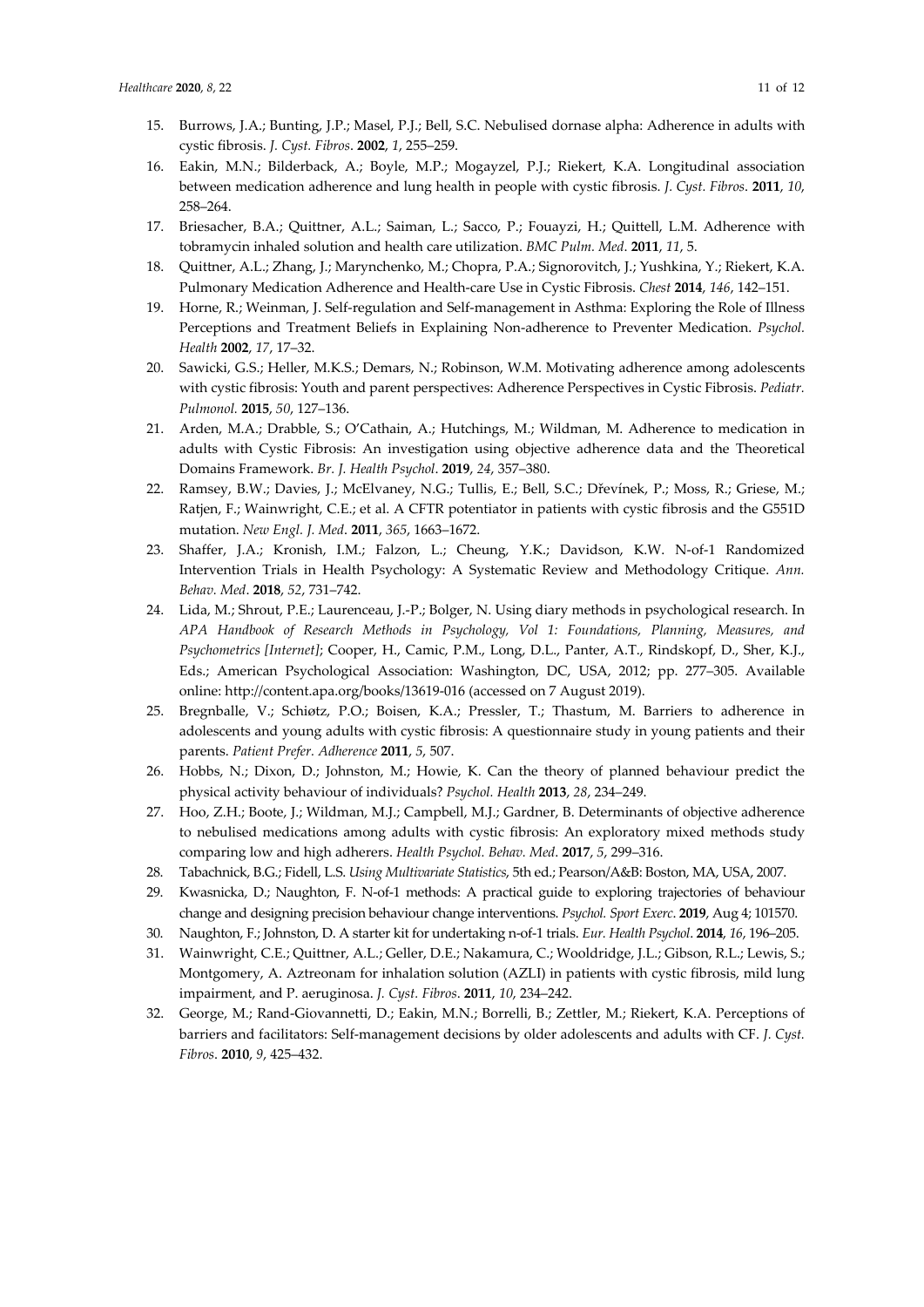- 15. Burrows, J.A.; Bunting, J.P.; Masel, P.J.; Bell, S.C. Nebulised dornase alpha: Adherence in adults with cystic fibrosis. *J. Cyst. Fibros*. **2002**, *1*, 255–259.
- 16. Eakin, M.N.; Bilderback, A.; Boyle, M.P.; Mogayzel, P.J.; Riekert, K.A. Longitudinal association between medication adherence and lung health in people with cystic fibrosis. *J. Cyst. Fibros*. **2011**, *10*, 258–264.
- 17. Briesacher, B.A.; Quittner, A.L.; Saiman, L.; Sacco, P.; Fouayzi, H.; Quittell, L.M. Adherence with tobramycin inhaled solution and health care utilization. *BMC Pulm. Med*. **2011**, *11*, 5.
- 18. Quittner, A.L.; Zhang, J.; Marynchenko, M.; Chopra, P.A.; Signorovitch, J.; Yushkina, Y.; Riekert, K.A. Pulmonary Medication Adherence and Health‐care Use in Cystic Fibrosis. *Chest* **2014**, *146*, 142–151.
- 19. Horne, R.; Weinman, J. Self‐regulation and Self‐management in Asthma: Exploring the Role of Illness Perceptions and Treatment Beliefs in Explaining Non‐adherence to Preventer Medication. *Psychol. Health* **2002**, *17*, 17–32.
- 20. Sawicki, G.S.; Heller, M.K.S.; Demars, N.; Robinson, W.M. Motivating adherence among adolescents with cystic fibrosis: Youth and parent perspectives: Adherence Perspectives in Cystic Fibrosis. *Pediatr. Pulmonol.* **2015**, *50*, 127–136.
- 21. Arden, M.A.; Drabble, S.; O'Cathain, A.; Hutchings, M.; Wildman, M. Adherence to medication in adults with Cystic Fibrosis: An investigation using objective adherence data and the Theoretical Domains Framework. *Br. J. Health Psychol*. **2019**, *24*, 357–380.
- 22. Ramsey, B.W.; Davies, J.; McElvaney, N.G.; Tullis, E.; Bell, S.C.; Dřevínek, P.; Moss, R.; Griese, M.; Ratjen, F.; Wainwright, C.E.; et al. A CFTR potentiator in patients with cystic fibrosis and the G551D mutation. *New Engl. J. Med*. **2011**, *365*, 1663–1672.
- 23. Shaffer, J.A.; Kronish, I.M.; Falzon, L.; Cheung, Y.K.; Davidson, K.W. N‐of‐1 Randomized Intervention Trials in Health Psychology: A Systematic Review and Methodology Critique. *Ann. Behav. Med*. **2018**, *52*, 731–742.
- 24. Lida, M.; Shrout, P.E.; Laurenceau, J.‐P.; Bolger, N. Using diary methods in psychological research. In *APA Handbook of Research Methods in Psychology, Vol 1: Foundations, Planning, Measures, and Psychometrics [Internet]*; Cooper, H., Camic, P.M., Long, D.L., Panter, A.T., Rindskopf, D., Sher, K.J., Eds.; American Psychological Association: Washington, DC, USA, 2012; pp. 277–305. Available online: http://content.apa.org/books/13619‐016 (accessed on 7 August 2019).
- 25. Bregnballe, V.; Schiøtz, P.O.; Boisen, K.A.; Pressler, T.; Thastum, M. Barriers to adherence in adolescents and young adults with cystic fibrosis: A questionnaire study in young patients and their parents. *Patient Prefer. Adherence* **2011**, *5*, 507.
- 26. Hobbs, N.; Dixon, D.; Johnston, M.; Howie, K. Can the theory of planned behaviour predict the physical activity behaviour of individuals? *Psychol. Health* **2013**, *28*, 234–249.
- 27. Hoo, Z.H.; Boote, J.; Wildman, M.J.; Campbell, M.J.; Gardner, B. Determinants of objective adherence to nebulised medications among adults with cystic fibrosis: An exploratory mixed methods study comparing low and high adherers. *Health Psychol. Behav. Med*. **2017**, *5*, 299–316.
- 28. Tabachnick, B.G.; Fidell, L.S. *Using Multivariate Statistics*, 5th ed.; Pearson/A&B: Boston, MA, USA, 2007.
- 29. Kwasnicka, D.; Naughton, F. N‐of‐1 methods: A practical guide to exploring trajectories of behaviour change and designing precision behaviour change interventions. *Psychol. Sport Exerc*. **2019**, Aug 4; 101570.
- 30. Naughton, F.; Johnston, D. A starter kit for undertaking n‐of‐1 trials. *Eur. Health Psychol*. **2014**, *16*, 196–205.
- 31. Wainwright, C.E.; Quittner, A.L.; Geller, D.E.; Nakamura, C.; Wooldridge, J.L.; Gibson, R.L.; Lewis, S.; Montgomery, A. Aztreonam for inhalation solution (AZLI) in patients with cystic fibrosis, mild lung impairment, and P. aeruginosa. *J. Cyst. Fibros*. **2011**, *10*, 234–242.
- 32. George, M.; Rand‐Giovannetti, D.; Eakin, M.N.; Borrelli, B.; Zettler, M.; Riekert, K.A. Perceptions of barriers and facilitators: Self‐management decisions by older adolescents and adults with CF. *J. Cyst. Fibros*. **2010**, *9*, 425–432.